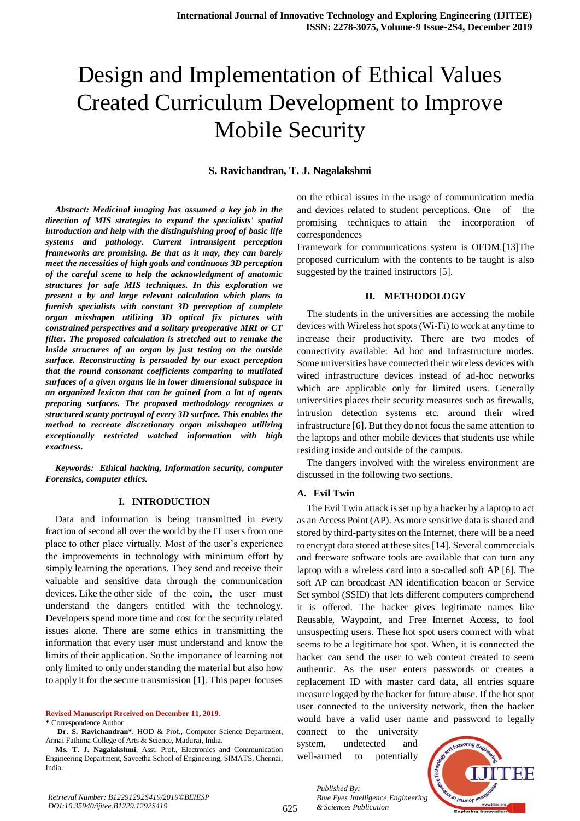# Design and Implementation of Ethical Values Created Curriculum Development to Improve Mobile Security

#### **S. Ravichandran, T. J. Nagalakshmi**

*Abstract: Medicinal imaging has assumed a key job in the direction of MIS strategies to expand the specialists' spatial introduction and help with the distinguishing proof of basic life systems and pathology. Current intransigent perception frameworks are promising. Be that as it may, they can barely meet the necessities of high goals and continuous 3D perception of the careful scene to help the acknowledgment of anatomic structures for safe MIS techniques. In this exploration we present a by and large relevant calculation which plans to furnish specialists with constant 3D perception of complete organ misshapen utilizing 3D optical fix pictures with constrained perspectives and a solitary preoperative MRI or CT filter. The proposed calculation is stretched out to remake the inside structures of an organ by just testing on the outside surface. Reconstructing is persuaded by our exact perception that the round consonant coefficients comparing to mutilated surfaces of a given organs lie in lower dimensional subspace in an organized lexicon that can be gained from a lot of agents preparing surfaces. The proposed methodology recognizes a structured scanty portrayal of every 3D surface. This enables the method to recreate discretionary organ misshapen utilizing exceptionally restricted watched information with high exactness.*

*Keywords: Ethical hacking, Information security, computer Forensics, computer ethics.* 

#### **I. INTRODUCTION**

Data and information is being transmitted in every fraction of second all over the world by the IT users from one place to other place virtually. Most of the user's experience the improvements in technology with minimum effort by simply learning the operations. They send and receive their valuable and sensitive data through the communication devices. Like the other side of the coin, the user must understand the dangers entitled with the technology. Developers spend more time and cost for the security related issues alone. There are some ethics in transmitting the information that every user must understand and know the limits of their application. So the importance of learning not only limited to only understanding the material but also how to apply it for the secure transmission [1]. This paper focuses

**Revised Manuscript Received on December 11, 2019**.

**\*** Correspondence Author

**Dr. S. Ravichandran\***, HOD & Prof., Computer Science Department, Annai Fathima College of Arts & Science, Madurai, India.

**Ms. T. J. Nagalakshmi**, Asst. Prof., Electronics and Communication Engineering Department, Saveetha School of Engineering, SIMATS, Chennai, India.

on the ethical issues in the usage of communication media and devices related to student perceptions. One of the promising techniques to attain the incorporation of correspondences

Framework for communications system is OFDM.[13]The proposed curriculum with the contents to be taught is also suggested by the trained instructors [5].

#### **II. METHODOLOGY**

The students in the universities are accessing the mobile devices with Wireless hot spots (Wi-Fi) to work at any time to increase their productivity. There are two modes of connectivity available: Ad hoc and Infrastructure modes. Some universities have connected their wireless devices with wired infrastructure devices instead of ad-hoc networks which are applicable only for limited users. Generally universities places their security measures such as firewalls, intrusion detection systems etc. around their wired infrastructure [6]. But they do not focus the same attention to the laptops and other mobile devices that students use while residing inside and outside of the campus.

The dangers involved with the wireless environment are discussed in the following two sections.

### **A. Evil Twin**

The Evil Twin attack is set up by a hacker by a laptop to act as an Access Point (AP). As more sensitive data is shared and stored by third-party sites on the Internet, there will be a need to encrypt data stored at these sites [14]. Several commercials and freeware software tools are available that can turn any laptop with a wireless card into a so-called soft AP [6]. The soft AP can broadcast AN identification beacon or Service Set symbol (SSID) that lets different computers comprehend it is offered. The hacker gives legitimate names like Reusable, Waypoint, and Free Internet Access, to fool unsuspecting users. These hot spot users connect with what seems to be a legitimate hot spot. When, it is connected the hacker can send the user to web content created to seem authentic. As the user enters passwords or creates a replacement ID with master card data, all entries square measure logged by the hacker for future abuse. If the hot spot user connected to the university network, then the hacker would have a valid user name and password to legally

connect to the university system, undetected and well-armed to potentially

*& Sciences Publication* 

*Published By:*



625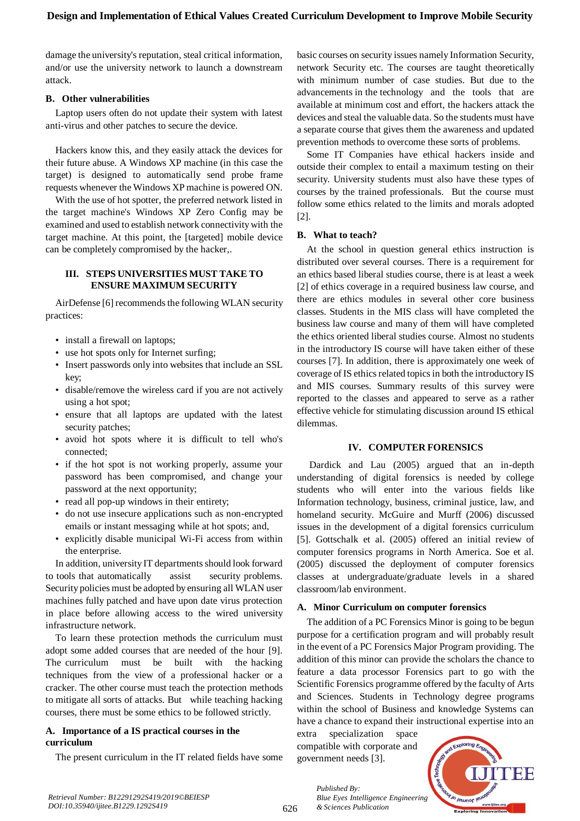damage the university's reputation, steal critical information, and/or use the university network to launch a downstream attack.

## **B. Other vulnerabilities**

Laptop users often do not update their system with latest anti-virus and other patches to secure the device.

Hackers know this, and they easily attack the devices for their future abuse. A Windows XP machine (in this case the target) is designed to automatically send probe frame requests whenever the Windows XP machine is powered ON.

With the use of hot spotter, the preferred network listed in the target machine's Windows XP Zero Config may be examined and used to establish network connectivity with the target machine. At this point, the [targeted] mobile device can be completely compromised by the hacker,.

## **III. STEPS UNIVERSITIES MUST TAKE TO ENSURE MAXIMUM SECURITY**

AirDefense [6] recommends the following WLAN security practices:

- install a firewall on laptops;
- use hot spots only for Internet surfing;
- Insert passwords only into websites that include an SSL key;
- disable/remove the wireless card if you are not actively using a hot spot;
- ensure that all laptops are updated with the latest security patches;
- avoid hot spots where it is difficult to tell who's connected;
- if the hot spot is not working properly, assume your password has been compromised, and change your password at the next opportunity;
- read all pop-up windows in their entirety;
- do not use insecure applications such as non-encrypted emails or instant messaging while at hot spots; and,
- explicitly disable municipal Wi-Fi access from within the enterprise.

In addition, university IT departments should look forward to tools that automatically assist security problems. Security policies must be adopted by ensuring all WLAN user machines fully patched and have upon date virus protection in place before allowing access to the wired university infrastructure network.

To learn these protection methods the curriculum must adopt some added courses that are needed of the hour [9]. The curriculum must be built with the hacking techniques from the view of a professional hacker or a cracker. The other course must teach the protection methods to mitigate all sorts of attacks. But while teaching hacking courses, there must be some ethics to be followed strictly.

## **A. Importance of a IS practical courses in the curriculum**

The present curriculum in the IT related fields have some

basic courses on security issues namely Information Security, network Security etc. The courses are taught theoretically with minimum number of case studies. But due to the advancements in the technology and the tools that are available at minimum cost and effort, the hackers attack the devices and steal the valuable data. So the students must have a separate course that gives them the awareness and updated prevention methods to overcome these sorts of problems.

Some IT Companies have ethical hackers inside and outside their complex to entail a maximum testing on their security. University students must also have these types of courses by the trained professionals. But the course must follow some ethics related to the limits and morals adopted [2].

## **B. What to teach?**

At the school in question general ethics instruction is distributed over several courses. There is a requirement for an ethics based liberal studies course, there is at least a week [2] of ethics coverage in a required business law course, and there are ethics modules in several other core business classes. Students in the MIS class will have completed the business law course and many of them will have completed the ethics oriented liberal studies course. Almost no students in the introductory IS course will have taken either of these courses [7]. In addition, there is approximately one week of coverage of IS ethics related topics in both the introductory IS and MIS courses. Summary results of this survey were reported to the classes and appeared to serve as a rather effective vehicle for stimulating discussion around IS ethical dilemmas.

## **IV. COMPUTER FORENSICS**

Dardick and Lau (2005) argued that an in-depth understanding of digital forensics is needed by college students who will enter into the various fields like Information technology, business, criminal justice, law, and homeland security. McGuire and Murff (2006) discussed issues in the development of a digital forensics curriculum [5]. Gottschalk et al. (2005) offered an initial review of computer forensics programs in North America. Soe et al. (2005) discussed the deployment of computer forensics classes at undergraduate/graduate levels in a shared classroom/lab environment.

## **A. Minor Curriculum on computer forensics**

The addition of a PC Forensics Minor is going to be begun purpose for a certification program and will probably result in the event of a PC Forensics Major Program providing. The addition of this minor can provide the scholars the chance to feature a data processor Forensics part to go with the Scientific Forensics programme offered by the faculty of Arts and Sciences. Students in Technology degree programs within the school of Business and knowledge Systems can have a chance to expand their instructional expertise into an

extra specialization space compatible with corporate and government needs [3].

*& Sciences Publication* 

*Published By:*



*Retrieval Number: B12291292S419/2019©BEIESP DOI:10.35940/ijitee.B1229.1292S419*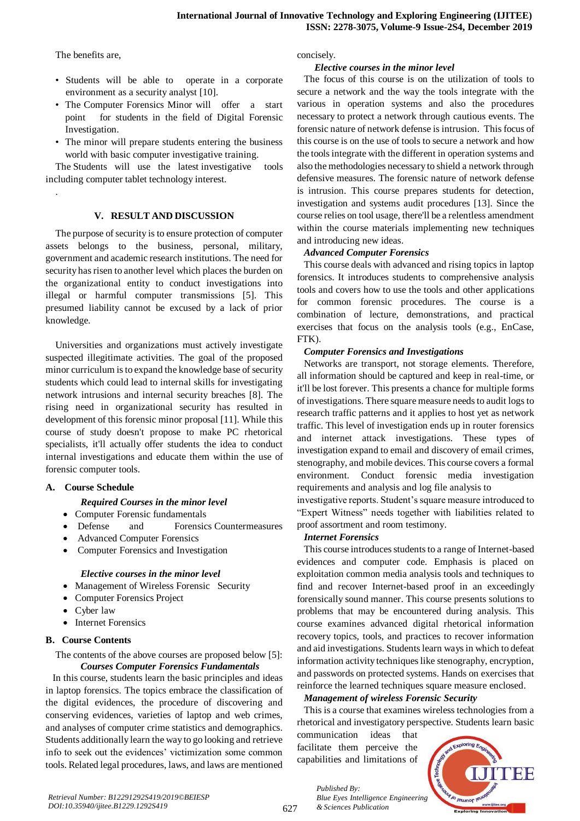The benefits are,

.

- Students will be able to operate in a corporate environment as a security analyst [10].
- The Computer Forensics Minor will offer a start point for students in the field of Digital Forensic Investigation.
- The minor will prepare students entering the business world with basic computer investigative training.

The Students will use the latest investigative tools including computer tablet technology interest.

## **V. RESULT AND DISCUSSION**

The purpose of security is to ensure protection of computer assets belongs to the business, personal, military, government and academic research institutions. The need for security has risen to another level which places the burden on the organizational entity to conduct investigations into illegal or harmful computer transmissions [5]. This presumed liability cannot be excused by a lack of prior knowledge.

Universities and organizations must actively investigate suspected illegitimate activities. The goal of the proposed minor curriculum is to expand the knowledge base of security students which could lead to internal skills for investigating network intrusions and internal security breaches [8]. The rising need in organizational security has resulted in development of this forensic minor proposal [11]. While this course of study doesn't propose to make PC rhetorical specialists, it'll actually offer students the idea to conduct internal investigations and educate them within the use of forensic computer tools.

# **A. Course Schedule**

# *Required Courses in the minor level*

- Computer Forensic fundamentals
- Defense and Forensics Countermeasures
- Advanced Computer Forensics
- Computer Forensics and Investigation

## *Elective courses in the minor level*

- Management of Wireless Forensic Security
- Computer Forensics Project
- Cyber law
- Internet Forensics

# **B. Course Contents**

The contents of the above courses are proposed below [5]: *Courses Computer Forensics Fundamentals*

In this course, students learn the basic principles and ideas in laptop forensics. The topics embrace the classification of the digital evidences, the procedure of discovering and conserving evidences, varieties of laptop and web crimes, and analyses of computer crime statistics and demographics. Students additionally learn the way to go looking and retrieve info to seek out the evidences' victimization some common tools. Related legal procedures, laws, and laws are mentioned concisely.

## *Elective courses in the minor level*

The focus of this course is on the utilization of tools to secure a network and the way the tools integrate with the various in operation systems and also the procedures necessary to protect a network through cautious events. The forensic nature of network defense is intrusion. This focus of this course is on the use of tools to secure a network and how the tools integrate with the different in operation systems and also the methodologies necessary to shield a network through defensive measures. The forensic nature of network defense is intrusion. This course prepares students for detection, investigation and systems audit procedures [13]. Since the course relies on tool usage, there'll be a relentless amendment within the course materials implementing new techniques and introducing new ideas.

# *Advanced Computer Forensics*

This course deals with advanced and rising topics in laptop forensics. It introduces students to comprehensive analysis tools and covers how to use the tools and other applications for common forensic procedures. The course is a combination of lecture, demonstrations, and practical exercises that focus on the analysis tools (e.g., EnCase, FTK).

# *Computer Forensics and Investigations*

Networks are transport, not storage elements. Therefore, all information should be captured and keep in real-time, or it'll be lost forever. This presents a chance for multiple forms of investigations. There square measure needs to audit logs to research traffic patterns and it applies to host yet as network traffic. This level of investigation ends up in router forensics and internet attack investigations. These types of investigation expand to email and discovery of email crimes, stenography, and mobile devices. This course covers a formal environment. Conduct forensic media investigation requirements and analysis and log file analysis to

investigative reports. Student's square measure introduced to "Expert Witness" needs together with liabilities related to proof assortment and room testimony.

# *Internet Forensics*

This course introduces students to a range of Internet-based evidences and computer code. Emphasis is placed on exploitation common media analysis tools and techniques to find and recover Internet-based proof in an exceedingly forensically sound manner. This course presents solutions to problems that may be encountered during analysis. This course examines advanced digital rhetorical information recovery topics, tools, and practices to recover information and aid investigations. Students learn ways in which to defeat information activity techniques like stenography, encryption, and passwords on protected systems. Hands on exercises that reinforce the learned techniques square measure enclosed.

# *Management of wireless Forensic Security*

This is a course that examines wireless technologies from a rhetorical and investigatory perspective. Students learn basic

communication ideas that facilitate them perceive the capabilities and limitations of

*Blue Eyes Intelligence Engineering* 



*Published By:*

*& Sciences Publication*